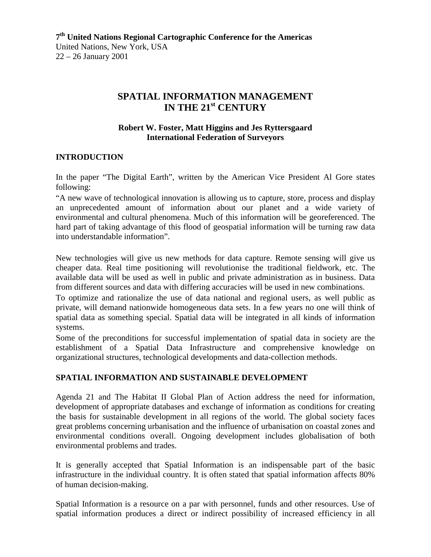# **SPATIAL INFORMATION MANAGEMENT IN THE 21st CENTURY**

#### **Robert W. Foster, Matt Higgins and Jes Ryttersgaard International Federation of Surveyors**

### **INTRODUCTION**

In the paper "The Digital Earth", written by the American Vice President Al Gore states following:

"A new wave of technological innovation is allowing us to capture, store, process and display an unprecedented amount of information about our planet and a wide variety of environmental and cultural phenomena. Much of this information will be georeferenced. The hard part of taking advantage of this flood of geospatial information will be turning raw data into understandable information".

New technologies will give us new methods for data capture. Remote sensing will give us cheaper data. Real time positioning will revolutionise the traditional fieldwork, etc. The available data will be used as well in public and private administration as in business. Data from different sources and data with differing accuracies will be used in new combinations.

To optimize and rationalize the use of data national and regional users, as well public as private, will demand nationwide homogeneous data sets. In a few years no one will think of spatial data as something special. Spatial data will be integrated in all kinds of information systems.

Some of the preconditions for successful implementation of spatial data in society are the establishment of a Spatial Data Infrastructure and comprehensive knowledge on organizational structures, technological developments and data-collection methods.

### **SPATIAL INFORMATION AND SUSTAINABLE DEVELOPMENT**

Agenda 21 and The Habitat II Global Plan of Action address the need for information, development of appropriate databases and exchange of information as conditions for creating the basis for sustainable development in all regions of the world. The global society faces great problems concerning urbanisation and the influence of urbanisation on coastal zones and environmental conditions overall. Ongoing development includes globalisation of both environmental problems and trades.

It is generally accepted that Spatial Information is an indispensable part of the basic infrastructure in the individual country. It is often stated that spatial information affects 80% of human decision-making.

Spatial Information is a resource on a par with personnel, funds and other resources. Use of spatial information produces a direct or indirect possibility of increased efficiency in all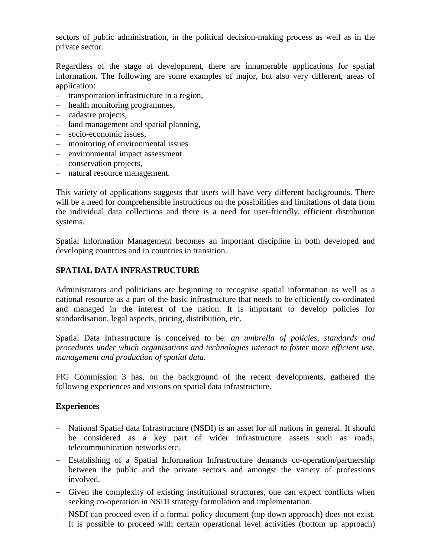sectors of public administration, in the political decision-making process as well as in the private sector.

Regardless of the stage of development, there are innumerable applications for spatial information. The following are some examples of major, but also very different, areas of application:

- transportation infrastructure in a region,
- health monitoring programmes,
- cadastre projects,
- land management and spatial planning,
- socio-economic issues,
- monitoring of environmental issues
- environmental impact assessment
- conservation projects,
- natural resource management.

This variety of applications suggests that users will have very different backgrounds. There will be a need for comprehensible instructions on the possibilities and limitations of data from the individual data collections and there is a need for user-friendly, efficient distribution systems.

Spatial Information Management becomes an important discipline in both developed and developing countries and in countries in transition.

### **SPATIAL DATA INFRASTRUCTURE**

Administrators and politicians are beginning to recognise spatial information as well as a national resource as a part of the basic infrastructure that needs to be efficiently co-ordinated and managed in the interest of the nation. It is important to develop policies for standardisation, legal aspects, pricing, distribution, etc.

Spatial Data Infrastructure is conceived to be: *an umbrella of policies, standards and procedures under which organisations and technologies interact to foster more efficient use, management and production of spatial data.*

FIG Commission 3 has, on the background of the recent developments, gathered the following experiences and visions on spatial data infrastructure.

### **Experiences**

- National Spatial data Infrastructure (NSDI) is an asset for all nations in general. It should be considered as a key part of wider infrastructure assets such as roads, telecommunication networks etc.
- Establishing of a Spatial Information Infrastructure demands co-operation/partnership between the public and the private sectors and amongst the variety of professions involved.
- Given the complexity of existing institutional structures, one can expect conflicts when seeking co-operation in NSDI strategy formulation and implementation.
- NSDI can proceed even if a formal policy document (top down approach) does not exist. It is possible to proceed with certain operational level activities (bottom up approach)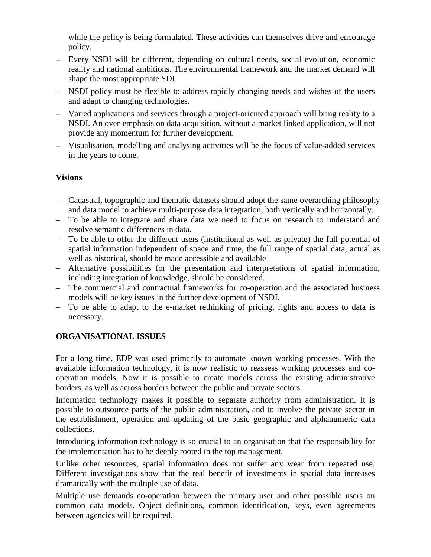while the policy is being formulated. These activities can themselves drive and encourage policy.

- Every NSDI will be different, depending on cultural needs, social evolution, economic reality and national ambitions. The environmental framework and the market demand will shape the most appropriate SDI.
- NSDI policy must be flexible to address rapidly changing needs and wishes of the users and adapt to changing technologies.
- Varied applications and services through a project-oriented approach will bring reality to a NSDI. An over-emphasis on data acquisition, without a market linked application, will not provide any momentum for further development.
- Visualisation, modelling and analysing activities will be the focus of value-added services in the years to come.

# **Visions**

- Cadastral, topographic and thematic datasets should adopt the same overarching philosophy and data model to achieve multi-purpose data integration, both vertically and horizontally.
- To be able to integrate and share data we need to focus on research to understand and resolve semantic differences in data.
- To be able to offer the different users (institutional as well as private) the full potential of spatial information independent of space and time, the full range of spatial data, actual as well as historical, should be made accessible and available
- Alternative possibilities for the presentation and interpretations of spatial information, including integration of knowledge, should be considered.
- The commercial and contractual frameworks for co-operation and the associated business models will be key issues in the further development of NSDI.
- To be able to adapt to the e-market rethinking of pricing, rights and access to data is necessary.

# **ORGANISATIONAL ISSUES**

For a long time, EDP was used primarily to automate known working processes. With the available information technology, it is now realistic to reassess working processes and cooperation models. Now it is possible to create models across the existing administrative borders, as well as across borders between the public and private sectors.

Information technology makes it possible to separate authority from administration. It is possible to outsource parts of the public administration, and to involve the private sector in the establishment, operation and updating of the basic geographic and alphanumeric data collections.

Introducing information technology is so crucial to an organisation that the responsibility for the implementation has to be deeply rooted in the top management.

Unlike other resources, spatial information does not suffer any wear from repeated use. Different investigations show that the real benefit of investments in spatial data increases dramatically with the multiple use of data.

Multiple use demands co-operation between the primary user and other possible users on common data models. Object definitions, common identification, keys, even agreements between agencies will be required.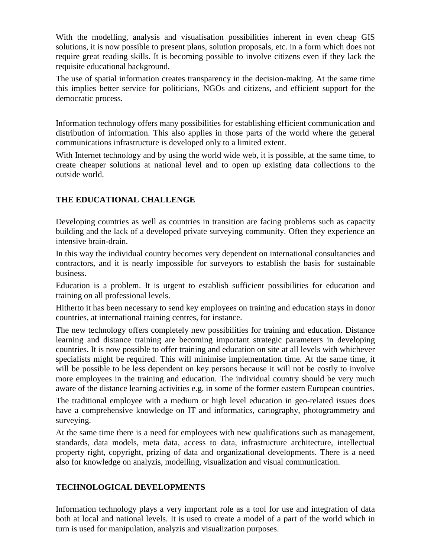With the modelling, analysis and visualisation possibilities inherent in even cheap GIS solutions, it is now possible to present plans, solution proposals, etc. in a form which does not require great reading skills. It is becoming possible to involve citizens even if they lack the requisite educational background.

The use of spatial information creates transparency in the decision-making. At the same time this implies better service for politicians, NGOs and citizens, and efficient support for the democratic process.

Information technology offers many possibilities for establishing efficient communication and distribution of information. This also applies in those parts of the world where the general communications infrastructure is developed only to a limited extent.

With Internet technology and by using the world wide web, it is possible, at the same time, to create cheaper solutions at national level and to open up existing data collections to the outside world.

# **THE EDUCATIONAL CHALLENGE**

Developing countries as well as countries in transition are facing problems such as capacity building and the lack of a developed private surveying community. Often they experience an intensive brain-drain.

In this way the individual country becomes very dependent on international consultancies and contractors, and it is nearly impossible for surveyors to establish the basis for sustainable business.

Education is a problem. It is urgent to establish sufficient possibilities for education and training on all professional levels.

Hitherto it has been necessary to send key employees on training and education stays in donor countries, at international training centres, for instance.

The new technology offers completely new possibilities for training and education. Distance learning and distance training are becoming important strategic parameters in developing countries. It is now possible to offer training and education on site at all levels with whichever specialists might be required. This will minimise implementation time. At the same time, it will be possible to be less dependent on key persons because it will not be costly to involve more employees in the training and education. The individual country should be very much aware of the distance learning activities e.g. in some of the former eastern European countries.

The traditional employee with a medium or high level education in geo-related issues does have a comprehensive knowledge on IT and informatics, cartography, photogrammetry and surveying.

At the same time there is a need for employees with new qualifications such as management, standards, data models, meta data, access to data, infrastructure architecture, intellectual property right, copyright, prizing of data and organizational developments. There is a need also for knowledge on analyzis, modelling, visualization and visual communication.

# **TECHNOLOGICAL DEVELOPMENTS**

Information technology plays a very important role as a tool for use and integration of data both at local and national levels. It is used to create a model of a part of the world which in turn is used for manipulation, analyzis and visualization purposes.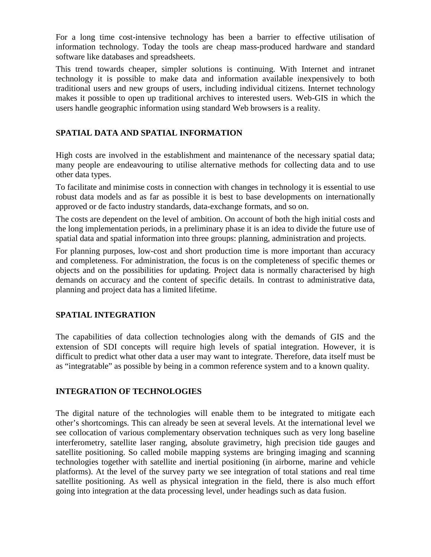For a long time cost-intensive technology has been a barrier to effective utilisation of information technology. Today the tools are cheap mass-produced hardware and standard software like databases and spreadsheets.

This trend towards cheaper, simpler solutions is continuing. With Internet and intranet technology it is possible to make data and information available inexpensively to both traditional users and new groups of users, including individual citizens. Internet technology makes it possible to open up traditional archives to interested users. Web-GIS in which the users handle geographic information using standard Web browsers is a reality.

## **SPATIAL DATA AND SPATIAL INFORMATION**

High costs are involved in the establishment and maintenance of the necessary spatial data; many people are endeavouring to utilise alternative methods for collecting data and to use other data types.

To facilitate and minimise costs in connection with changes in technology it is essential to use robust data models and as far as possible it is best to base developments on internationally approved or de facto industry standards, data-exchange formats, and so on.

The costs are dependent on the level of ambition. On account of both the high initial costs and the long implementation periods, in a preliminary phase it is an idea to divide the future use of spatial data and spatial information into three groups: planning, administration and projects.

For planning purposes, low-cost and short production time is more important than accuracy and completeness. For administration, the focus is on the completeness of specific themes or objects and on the possibilities for updating. Project data is normally characterised by high demands on accuracy and the content of specific details. In contrast to administrative data, planning and project data has a limited lifetime.

### **SPATIAL INTEGRATION**

The capabilities of data collection technologies along with the demands of GIS and the extension of SDI concepts will require high levels of spatial integration. However, it is difficult to predict what other data a user may want to integrate. Therefore, data itself must be as "integratable" as possible by being in a common reference system and to a known quality.

### **INTEGRATION OF TECHNOLOGIES**

The digital nature of the technologies will enable them to be integrated to mitigate each other's shortcomings. This can already be seen at several levels. At the international level we see collocation of various complementary observation techniques such as very long baseline interferometry, satellite laser ranging, absolute gravimetry, high precision tide gauges and satellite positioning. So called mobile mapping systems are bringing imaging and scanning technologies together with satellite and inertial positioning (in airborne, marine and vehicle platforms). At the level of the survey party we see integration of total stations and real time satellite positioning. As well as physical integration in the field, there is also much effort going into integration at the data processing level, under headings such as data fusion.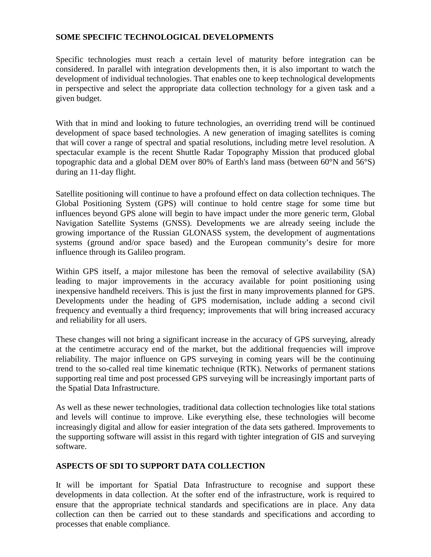### **SOME SPECIFIC TECHNOLOGICAL DEVELOPMENTS**

Specific technologies must reach a certain level of maturity before integration can be considered. In parallel with integration developments then, it is also important to watch the development of individual technologies. That enables one to keep technological developments in perspective and select the appropriate data collection technology for a given task and a given budget.

With that in mind and looking to future technologies, an overriding trend will be continued development of space based technologies. A new generation of imaging satellites is coming that will cover a range of spectral and spatial resolutions, including metre level resolution. A spectacular example is the recent Shuttle Radar Topography Mission that produced global topographic data and a global DEM over 80% of Earth's land mass (between 60°N and 56°S) during an 11-day flight.

Satellite positioning will continue to have a profound effect on data collection techniques. The Global Positioning System (GPS) will continue to hold centre stage for some time but influences beyond GPS alone will begin to have impact under the more generic term, Global Navigation Satellite Systems (GNSS). Developments we are already seeing include the growing importance of the Russian GLONASS system, the development of augmentations systems (ground and/or space based) and the European community's desire for more influence through its Galileo program.

Within GPS itself, a major milestone has been the removal of selective availability (SA) leading to major improvements in the accuracy available for point positioning using inexpensive handheld receivers. This is just the first in many improvements planned for GPS. Developments under the heading of GPS modernisation, include adding a second civil frequency and eventually a third frequency; improvements that will bring increased accuracy and reliability for all users.

These changes will not bring a significant increase in the accuracy of GPS surveying, already at the centimetre accuracy end of the market, but the additional frequencies will improve reliability. The major influence on GPS surveying in coming years will be the continuing trend to the so-called real time kinematic technique (RTK). Networks of permanent stations supporting real time and post processed GPS surveying will be increasingly important parts of the Spatial Data Infrastructure.

As well as these newer technologies, traditional data collection technologies like total stations and levels will continue to improve. Like everything else, these technologies will become increasingly digital and allow for easier integration of the data sets gathered. Improvements to the supporting software will assist in this regard with tighter integration of GIS and surveying software.

### **ASPECTS OF SDI TO SUPPORT DATA COLLECTION**

It will be important for Spatial Data Infrastructure to recognise and support these developments in data collection. At the softer end of the infrastructure, work is required to ensure that the appropriate technical standards and specifications are in place. Any data collection can then be carried out to these standards and specifications and according to processes that enable compliance.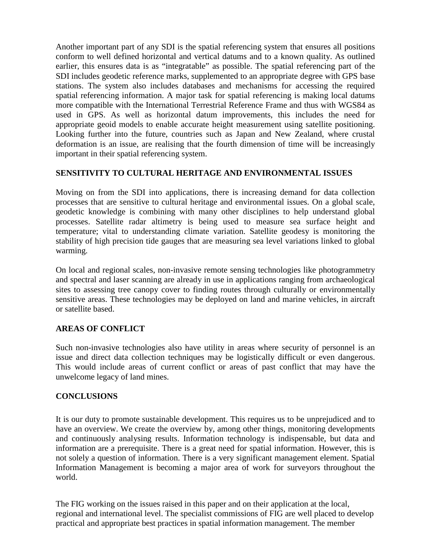Another important part of any SDI is the spatial referencing system that ensures all positions conform to well defined horizontal and vertical datums and to a known quality. As outlined earlier, this ensures data is as "integratable" as possible. The spatial referencing part of the SDI includes geodetic reference marks, supplemented to an appropriate degree with GPS base stations. The system also includes databases and mechanisms for accessing the required spatial referencing information. A major task for spatial referencing is making local datums more compatible with the International Terrestrial Reference Frame and thus with WGS84 as used in GPS. As well as horizontal datum improvements, this includes the need for appropriate geoid models to enable accurate height measurement using satellite positioning. Looking further into the future, countries such as Japan and New Zealand, where crustal deformation is an issue, are realising that the fourth dimension of time will be increasingly important in their spatial referencing system.

### **SENSITIVITY TO CULTURAL HERITAGE AND ENVIRONMENTAL ISSUES**

Moving on from the SDI into applications, there is increasing demand for data collection processes that are sensitive to cultural heritage and environmental issues. On a global scale, geodetic knowledge is combining with many other disciplines to help understand global processes. Satellite radar altimetry is being used to measure sea surface height and temperature; vital to understanding climate variation. Satellite geodesy is monitoring the stability of high precision tide gauges that are measuring sea level variations linked to global warming.

On local and regional scales, non-invasive remote sensing technologies like photogrammetry and spectral and laser scanning are already in use in applications ranging from archaeological sites to assessing tree canopy cover to finding routes through culturally or environmentally sensitive areas. These technologies may be deployed on land and marine vehicles, in aircraft or satellite based.

### **AREAS OF CONFLICT**

Such non-invasive technologies also have utility in areas where security of personnel is an issue and direct data collection techniques may be logistically difficult or even dangerous. This would include areas of current conflict or areas of past conflict that may have the unwelcome legacy of land mines.

### **CONCLUSIONS**

It is our duty to promote sustainable development. This requires us to be unprejudiced and to have an overview. We create the overview by, among other things, monitoring developments and continuously analysing results. Information technology is indispensable, but data and information are a prerequisite. There is a great need for spatial information. However, this is not solely a question of information. There is a very significant management element. Spatial Information Management is becoming a major area of work for surveyors throughout the world.

The FIG working on the issues raised in this paper and on their application at the local, regional and international level. The specialist commissions of FIG are well placed to develop practical and appropriate best practices in spatial information management. The member